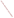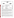| THE ENVIRONMENTAL TECHNOLOGY VERIFICATION |
|-------------------------------------------|
| <b>PROGRAM</b>                            |
| <b>THE</b>                                |





## **Verification Statement**

| <b>TECHNOLOGY TYPE:</b>              | <b>X-RAY FLUORESCENCE</b>                        |                              |                                      |  |
|--------------------------------------|--------------------------------------------------|------------------------------|--------------------------------------|--|
| <b>APPLICATION:</b>                  | <b>MEASUREMENT OF LEAD IN DUST WIPES</b>         |                              |                                      |  |
| <b>TECHNOLOGY NAME:</b>              | <b>Pb-Test XRF Instrument</b>                    |                              |                                      |  |
| <b>COMPANY:</b>                      | <b>KeyMaster Technologies</b>                    |                              |                                      |  |
| <b>ADDRESS:</b>                      | <b>415 N. Quay</b><br>Kennewick, WA 99336        | <b>PHONE:</b><br><b>FAX:</b> | $(509)$ 783-9850<br>$(509)$ 735-9696 |  |
| <b>WEB SITE:</b><br>$E\text{-}MAIL:$ | www.keymastertech.com<br>thowe@keymastertech.com |                              |                                      |  |

The U.S. Environmental Protection Agency (EPA) has created the Environmental Technology Verification Program (ETV) to facilitate the deployment of innovative or improved environmental technologies through performance verification and dissemination of information. The goal of the ETV Program is to further environmental protection by substantially accelerating the acceptance and use of improved and cost-effective technologies. ETV seeks to achieve this goal by providing high-quality, peer-reviewed data on technology performance to those involved in the design, distribution, financing, permitting, purchase, and use of environmental technologies.

ETV works in partnership with recognized standards and testing organizations and stakeholder groups consisting of regulators, buyers, and vendor organizations, with the full participation of individual technology developers. The program evaluates the performance of innovative technologies by developing test plans that are responsive to the needs of stakeholders, conducting field or laboratory tests (as appropriate), collecting and analyzing data, and preparing peer-reviewed reports. All evaluations are conducted in accordance with rigorous quality assurance protocols to ensure that data of known and adequate quality are generated and that the results are defensible.

Oak Ridge National Laboratory (ORNL) is one of the verification organizations operating under the Advanced Monitoring Systems (AMS) Center. AMS, which is administered by EPA's National Exposure Research Laboratory (NERL), is one of six technology areas under ETV. In this verification test, ORNL evaluated the performance of lead in dust wipe measurement technologies. This verification statement provides a summary of the test results for KeyMaster Technologies' Pb-Test x-ray fluorescence (XRF) instrument.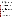## **VERIFICATION TEST DESCRIPTION**

This verification test was designed to evaluate technologies that detect and measure lead in dust wipes. The test was conducted at the Oak Ridge National Laboratory in Oak Ridge, TN, from January 7 through January 9, 2002. KeyMaster Technologies, a vendor of commercially-available, field portable x-ray fluorescence (XRF) instruments for lead detection and measurement, blindly analyzed 160 dust wipe samples containing known amounts of lead, ranging in concentration from  $\leq$  2 to 1,500  $\mu$ g/wipe. The experimental design was particularly focused on important clearance standards, such as those identified in 40 CFR Part 745.227(e)(8)(viii) of 40  $\mu$ g/ft<sup>2</sup> for floors, 250  $\mu$ g/ft<sup>2</sup> for window sills, and 400  $\mu$ g/ft<sup>2</sup> for window troughs. The samples included wipes newly-prepared and archived from the Environmental Lead Proficiency Analytical Testing Program (ELPAT). These samples were prepared from dust collected in households in North Carolina and Wisconsin. Also, newly-prepared samples were acquired from the University of Cincinnati (UC). The (UC) dust wipe samples were prepared from National Institute of Standards and Technology (NIST) Standard Reference Materials (SRMs). The results of the lead analyses generated by the technology were compared with results from analyses of similar samples by conventional laboratory methodology in a laboratory that was recognized as proficient by the National Lead Laboratory Accreditation Program (NLLAP) for dust testing. Details of the test, including a data summary and discussion of results, may be found in the report entitled *Environmental Technology Verification Report: Lead in Dust Wipe Detection Technology— KeyMaster Technologies, Pb-Test X-Ray Fluorescence Instrument,* EPA/600/R-02/058.

## **TECHNOLOGY DESCRIPTION**

The Pb-Test is an energy dispersive x-ray fluorescence (EDXRF) spectrometer that uses a sealed, highly purified Cobalt-57 radioisotope source (<12 mCi) to excite a test sample's constituent elements. The Pb-Test utilizes the recently developed Cadmium Telluride (CdTe) Schottky diode detectors. The age of the detector at the time of testing was approximately 4 to 5 months. Each element produces x-rays at a unique set of energies, allowing one to non-destructively measure the elemental composition of a sample. These characteristic x-rays are continuously detected, identified, and quantified by the spectrometer during sample analysis. In other words, the energy of each x-ray identifies a particular element present in the sample and the rate at which the x-rays of a given energy are emitted allows the analyzer to determine the quantity of a particular element present in that sample. Signals from the detector are amplified, digitized, and then quantified via an integrated multichannel analyzer and data processor. Sample test results are displayed in total micrograms of lead per dust-wipe. KeyMaster did not provide a reporting limit for the instrument during the verification test.

## **VERIFICATION OF PERFORMANCE**

The following performance characteristics of the Pb-Test XRF were observed:

*Precision:* Precision, based on the average percent relative standard deviation (RSD), was 18% for the ELPAT samples and 15% for the UC samples. A technology's performance is considered very precise if the average RSD is less than 10%, but acceptable as long as the average RSD is less than 20%.

*Accuracy:* Accuracy was assessed using the estimated concentrations of the ELPAT and UC samples. Acceptable bias falls in a range of average percent recovery values of  $100\% \pm 25\%$ . The average percent recovery values for the ELPAT and UC samples (excluding the "detectable blank" samples at concentrations  $\langle 2 \mu g/m$  is that are described in more detail below) were 189% and 168%, respectively. If only those samples with concentrations between 200 and 1,500  $\mu$ g/wipe are considered, the Pb-Test results were unbiased, with an average percent recovery value of 96% for ELPAT samples and 102% for the UC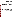samples. The Pb-Test results for samples at 800, and 1,500  $\mu$ g/wipe were both negatively biased (78% and 72%, respectively), but there was not enough data to ascertain that the technology was negatively biased above  $800 \mu g/wipe$ . For the NLLAP laboratory results, the average percent recovery values were 98% and 91%, respectively, for the ELPAT and UC samples. The NLLAP laboratory's negative bias for both the ELPAT and UC samples was statistically significant.

 *Comparability:* A comparison of the average Pb-Test results and the average NLLAP-recognized laboratory results was performed for all samples (ELPAT and UC) for estimated concentrations above and below 200  $\mu$ g/wipe. The correlation coefficient (r) for the < 200  $\mu$ g/wipe data set was 0.967 [slope  $(m) = 1.060$ , intercept = 66. For the > 200  $\mu$ g/wipe data, the r value was 0.989 [slope = 0.662, intercept  $= 121$ ). The slopes for both data sets were statistically different from 1.00. The Pb-Test results above 200  $\mu$ g/wipe indicate fair agreement with the NLLAP laboratory's results, since correlation coefficient values greater than 0.990 indicate good agreement with the laboratory data.

*Detectable blanks:* All twenty samples, prepared at concentrations  $\langle 2 \mu g/m p e$ , were reported as detections by the Pb-Test, with concentrations ranging from 46 to 137  $\mu$ g/wipe.

*False positive results:* A false positive (fp) result is one in which the technology reports a result that is above the clearance level when the true (or estimated) concentration is actually below. For the UC samples, the Pb-Test reported 20 of a possible 38 fp results, while the NLLAP laboratory did not report any fp results. For the ELPAT samples, the Pb-Test reported 6 of a possible 12 fp results, while the NLLAP laboratory reported two.

*False negative results:* A false negative (fn) result is one in which the technology reports a result that is below the clearance level when the true (or estimated) concentration is actually above. For the UC samples, the Pb-Test reported 7 of a possible 22 fn results, while the NLLAP laboratory reported 23 of a possible 30 fn results. For the ELPAT samples, the Pb-Test reported 8 of a possible 28 fn results, while the NLLAP laboratory reported 7.

*Completeness:* Completeness is defined as the percentage of measurements that are judged to be usable (i.e., the result is not rejected). An acceptable completeness rate is 95% or greater. The Pb-Test instrument generated results for all 160 dust wipes samples for a completeness of 100%.

*Sample Throughput:* Sample throughput is a measure of the number of samples that can be processed and reported by a technology in a given period of time. With two analysts, the KeyMaster team accomplished a sample throughput rate of approximately eighty samples per 10-hour day. One operator prepared the samples, while the other performed the analyses. The vendor chose to run the samples on two instruments and report the average value. The instrument can be operated by a single trained analyst.